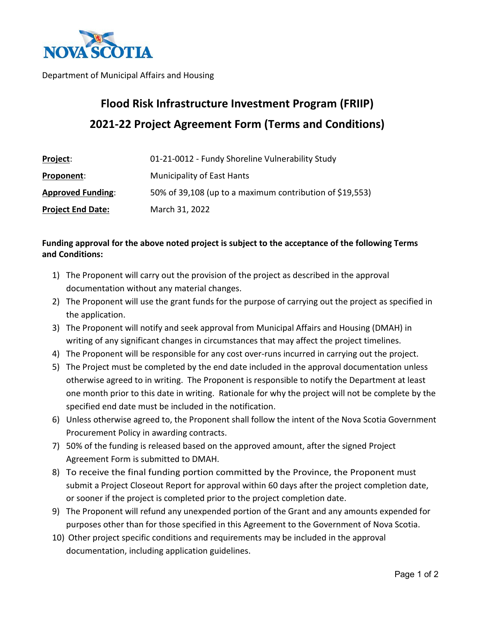

Department of Municipal Affairs and Housing

# **Flood Risk Infrastructure Investment Program (FRIIP) 2021-22 Project Agreement Form (Terms and Conditions)**

| Project:                 | 01-21-0012 - Fundy Shoreline Vulnerability Study         |  |
|--------------------------|----------------------------------------------------------|--|
| Proponent:               | <b>Municipality of East Hants</b>                        |  |
| <b>Approved Funding:</b> | 50% of 39,108 (up to a maximum contribution of \$19,553) |  |
| <b>Project End Date:</b> | March 31, 2022                                           |  |

# **Funding approval for the above noted project is subject to the acceptance of the following Terms and Conditions:**

- 1) The Proponent will carry out the provision of the project as described in the approval documentation without any material changes.
- 2) The Proponent will use the grant funds for the purpose of carrying out the project as specified in the application.
- 3) The Proponent will notify and seek approval from Municipal Affairs and Housing (DMAH) in writing of any significant changes in circumstances that may affect the project timelines.
- 4) The Proponent will be responsible for any cost over-runs incurred in carrying out the project.
- 5) The Project must be completed by the end date included in the approval documentation unless otherwise agreed to in writing. The Proponent is responsible to notify the Department at least one month prior to this date in writing. Rationale for why the project will not be complete by the specified end date must be included in the notification.
- 6) Unless otherwise agreed to, the Proponent shall follow the intent of the Nova Scotia Government Procurement Policy in awarding contracts.
- 7) 50% of the funding is released based on the approved amount, after the signed Project Agreement Form is submitted to DMAH.
- 8) To receive the final funding portion committed by the Province, the Proponent must submit a Project Closeout Report for approval within 60 days after the project completion date, or sooner if the project is completed prior to the project completion date.
- 9) The Proponent will refund any unexpended portion of the Grant and any amounts expended for purposes other than for those specified in this Agreement to the Government of Nova Scotia.
- 10) Other project specific conditions and requirements may be included in the approval documentation, including application guidelines.